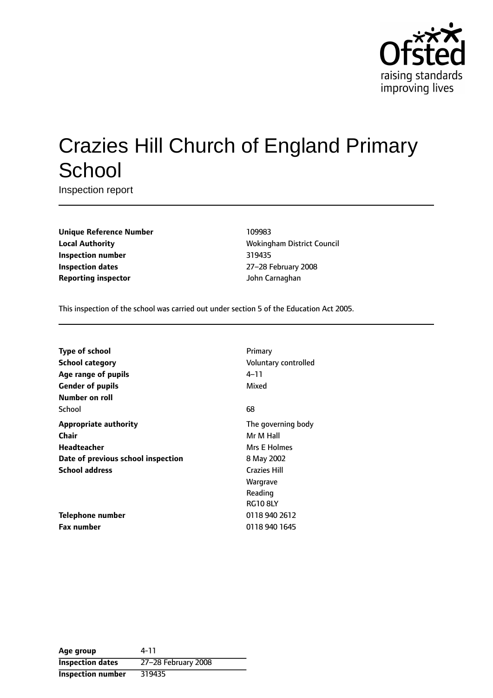

# Crazies Hill Church of England Primary **School**

Inspection report

**Unique Reference Number** 109983 **Local Authority Music Council** Wokingham District Council **Inspection number** 319435 **Inspection dates** 27-28 February 2008 **Reporting inspector Community Community** *John Carnaghan* 

This inspection of the school was carried out under section 5 of the Education Act 2005.

| <b>Type of school</b>              | Primary              |
|------------------------------------|----------------------|
| <b>School category</b>             | Voluntary controlled |
| Age range of pupils                | 4–11                 |
| <b>Gender of pupils</b>            | Mixed                |
| Number on roll                     |                      |
| School                             | 68                   |
| <b>Appropriate authority</b>       | The governing body   |
| Chair                              | Mr M Hall            |
| Headteacher                        | Mrs E Holmes         |
| Date of previous school inspection | 8 May 2002           |
| <b>School address</b>              | <b>Crazies Hill</b>  |
|                                    | Wargrave             |
|                                    | Reading              |
|                                    | <b>RG10 8LY</b>      |
| <b>Telephone number</b>            | 0118 940 2612        |
| <b>Fax number</b>                  | 0118 940 1645        |

**Age group** 4-11 **Inspection dates** 27-28 February 2008 **Inspection number** 319435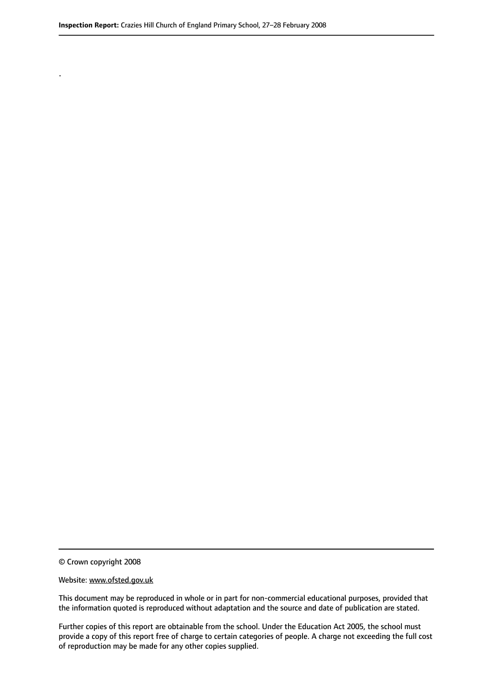© Crown copyright 2008

.

#### Website: www.ofsted.gov.uk

This document may be reproduced in whole or in part for non-commercial educational purposes, provided that the information quoted is reproduced without adaptation and the source and date of publication are stated.

Further copies of this report are obtainable from the school. Under the Education Act 2005, the school must provide a copy of this report free of charge to certain categories of people. A charge not exceeding the full cost of reproduction may be made for any other copies supplied.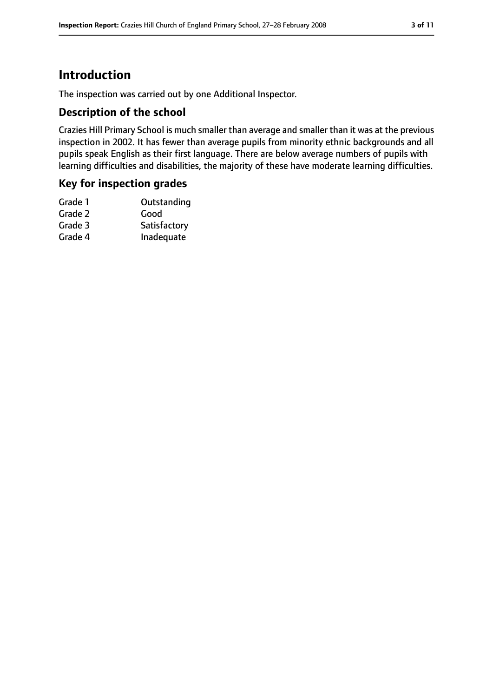# **Introduction**

The inspection was carried out by one Additional Inspector.

#### **Description of the school**

Crazies Hill Primary School is much smaller than average and smaller than it was at the previous inspection in 2002. It has fewer than average pupils from minority ethnic backgrounds and all pupils speak English as their first language. There are below average numbers of pupils with learning difficulties and disabilities, the majority of these have moderate learning difficulties.

#### **Key for inspection grades**

| Grade 1 | Outstanding  |
|---------|--------------|
| Grade 2 | Good         |
| Grade 3 | Satisfactory |
| Grade 4 | Inadequate   |
|         |              |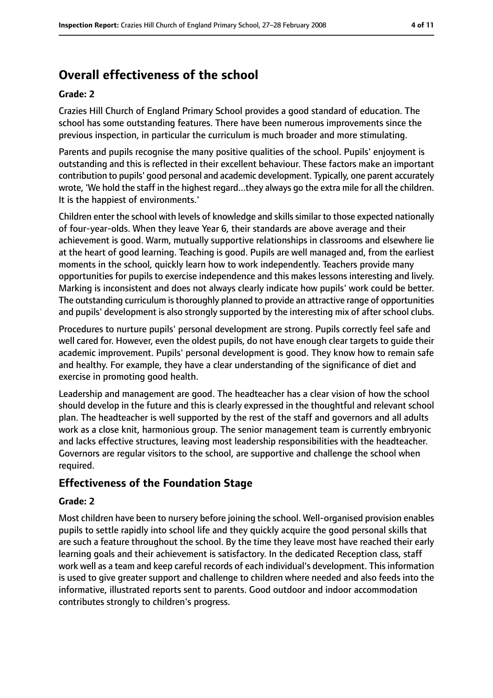# **Overall effectiveness of the school**

#### **Grade: 2**

Crazies Hill Church of England Primary School provides a good standard of education. The school has some outstanding features. There have been numerous improvements since the previous inspection, in particular the curriculum is much broader and more stimulating.

Parents and pupils recognise the many positive qualities of the school. Pupils' enjoyment is outstanding and this is reflected in their excellent behaviour. These factors make an important contribution to pupils' good personal and academic development. Typically, one parent accurately wrote, 'We hold the staff in the highest regard...they always go the extra mile for all the children. It is the happiest of environments.'

Children enter the school with levels of knowledge and skills similar to those expected nationally of four-year-olds. When they leave Year 6, their standards are above average and their achievement is good. Warm, mutually supportive relationships in classrooms and elsewhere lie at the heart of good learning. Teaching is good. Pupils are well managed and, from the earliest moments in the school, quickly learn how to work independently. Teachers provide many opportunities for pupils to exercise independence and this makes lessons interesting and lively. Marking is inconsistent and does not always clearly indicate how pupils' work could be better. The outstanding curriculum is thoroughly planned to provide an attractive range of opportunities and pupils' development is also strongly supported by the interesting mix of after school clubs.

Procedures to nurture pupils' personal development are strong. Pupils correctly feel safe and well cared for. However, even the oldest pupils, do not have enough clear targets to guide their academic improvement. Pupils' personal development is good. They know how to remain safe and healthy. For example, they have a clear understanding of the significance of diet and exercise in promoting good health.

Leadership and management are good. The headteacher has a clear vision of how the school should develop in the future and this is clearly expressed in the thoughtful and relevant school plan. The headteacher is well supported by the rest of the staff and governors and all adults work as a close knit, harmonious group. The senior management team is currently embryonic and lacks effective structures, leaving most leadership responsibilities with the headteacher. Governors are regular visitors to the school, are supportive and challenge the school when required.

## **Effectiveness of the Foundation Stage**

#### **Grade: 2**

Most children have been to nursery before joining the school. Well-organised provision enables pupils to settle rapidly into school life and they quickly acquire the good personal skills that are such a feature throughout the school. By the time they leave most have reached their early learning goals and their achievement is satisfactory. In the dedicated Reception class, staff work well as a team and keep careful records of each individual's development. This information is used to give greater support and challenge to children where needed and also feeds into the informative, illustrated reports sent to parents. Good outdoor and indoor accommodation contributes strongly to children's progress.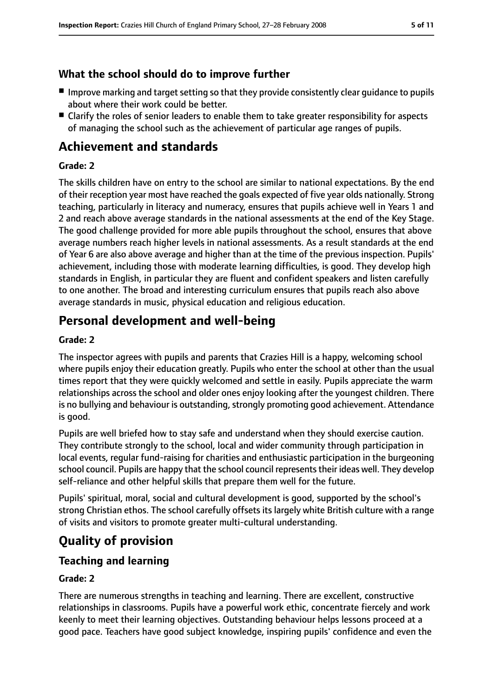## **What the school should do to improve further**

- Improve marking and target setting so that they provide consistently clear guidance to pupils about where their work could be better.
- Clarify the roles of senior leaders to enable them to take greater responsibility for aspects of managing the school such as the achievement of particular age ranges of pupils.

# **Achievement and standards**

#### **Grade: 2**

The skills children have on entry to the school are similar to national expectations. By the end of their reception year most have reached the goals expected of five year olds nationally. Strong teaching, particularly in literacy and numeracy, ensures that pupils achieve well in Years 1 and 2 and reach above average standards in the national assessments at the end of the Key Stage. The good challenge provided for more able pupils throughout the school, ensures that above average numbers reach higher levels in national assessments. As a result standards at the end of Year 6 are also above average and higher than at the time of the previous inspection. Pupils' achievement, including those with moderate learning difficulties, is good. They develop high standards in English, in particular they are fluent and confident speakers and listen carefully to one another. The broad and interesting curriculum ensures that pupils reach also above average standards in music, physical education and religious education.

# **Personal development and well-being**

#### **Grade: 2**

The inspector agrees with pupils and parents that Crazies Hill is a happy, welcoming school where pupils enjoy their education greatly. Pupils who enter the school at other than the usual times report that they were quickly welcomed and settle in easily. Pupils appreciate the warm relationships across the school and older ones enjoy looking after the youngest children. There is no bullying and behaviour is outstanding, strongly promoting good achievement. Attendance is good.

Pupils are well briefed how to stay safe and understand when they should exercise caution. They contribute strongly to the school, local and wider community through participation in local events, regular fund-raising for charities and enthusiastic participation in the burgeoning school council. Pupils are happy that the school council represents their ideas well. They develop self-reliance and other helpful skills that prepare them well for the future.

Pupils' spiritual, moral, social and cultural development is good, supported by the school's strong Christian ethos. The school carefully offsets its largely white British culture with a range of visits and visitors to promote greater multi-cultural understanding.

# **Quality of provision**

## **Teaching and learning**

#### **Grade: 2**

There are numerous strengths in teaching and learning. There are excellent, constructive relationships in classrooms. Pupils have a powerful work ethic, concentrate fiercely and work keenly to meet their learning objectives. Outstanding behaviour helps lessons proceed at a good pace. Teachers have good subject knowledge, inspiring pupils' confidence and even the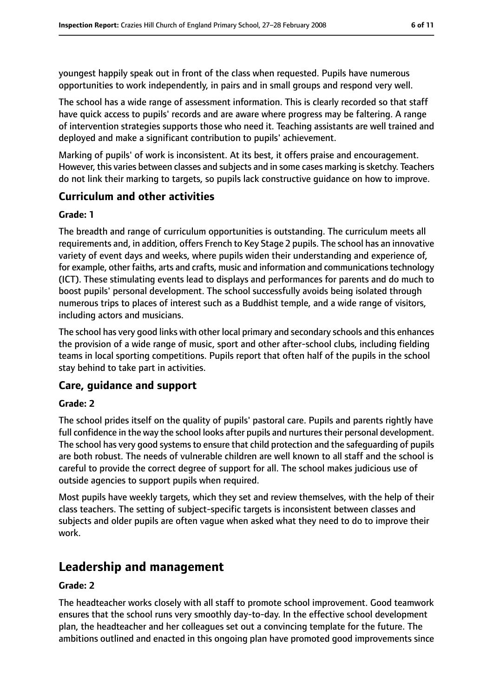youngest happily speak out in front of the class when requested. Pupils have numerous opportunities to work independently, in pairs and in small groups and respond very well.

The school has a wide range of assessment information. This is clearly recorded so that staff have quick access to pupils' records and are aware where progress may be faltering. A range of intervention strategies supports those who need it. Teaching assistants are well trained and deployed and make a significant contribution to pupils' achievement.

Marking of pupils' of work is inconsistent. At its best, it offers praise and encouragement. However, this varies between classes and subjects and in some cases marking is sketchy. Teachers do not link their marking to targets, so pupils lack constructive guidance on how to improve.

### **Curriculum and other activities**

#### **Grade: 1**

The breadth and range of curriculum opportunities is outstanding. The curriculum meets all requirements and, in addition, offers French to Key Stage 2 pupils. The school has an innovative variety of event days and weeks, where pupils widen their understanding and experience of, for example, other faiths, arts and crafts, music and information and communications technology (ICT). These stimulating events lead to displays and performances for parents and do much to boost pupils' personal development. The school successfully avoids being isolated through numerous trips to places of interest such as a Buddhist temple, and a wide range of visitors, including actors and musicians.

The school has very good links with other local primary and secondary schools and this enhances the provision of a wide range of music, sport and other after-school clubs, including fielding teams in local sporting competitions. Pupils report that often half of the pupils in the school stay behind to take part in activities.

## **Care, guidance and support**

#### **Grade: 2**

The school prides itself on the quality of pupils' pastoral care. Pupils and parents rightly have full confidence in the way the school looks after pupils and nurtures their personal development. The school has very good systems to ensure that child protection and the safeguarding of pupils are both robust. The needs of vulnerable children are well known to all staff and the school is careful to provide the correct degree of support for all. The school makes judicious use of outside agencies to support pupils when required.

Most pupils have weekly targets, which they set and review themselves, with the help of their class teachers. The setting of subject-specific targets is inconsistent between classes and subjects and older pupils are often vague when asked what they need to do to improve their work.

# **Leadership and management**

#### **Grade: 2**

The headteacher works closely with all staff to promote school improvement. Good teamwork ensures that the school runs very smoothly day-to-day. In the effective school development plan, the headteacher and her colleagues set out a convincing template for the future. The ambitions outlined and enacted in this ongoing plan have promoted good improvements since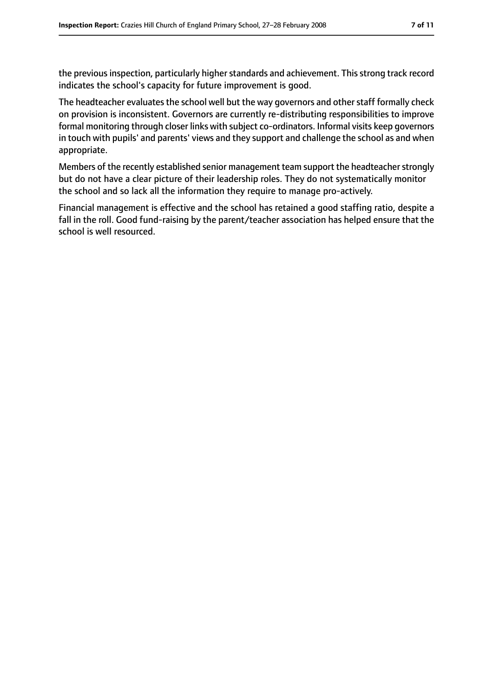the previous inspection, particularly higher standards and achievement. This strong track record indicates the school's capacity for future improvement is good.

The headteacher evaluates the school well but the way governors and other staff formally check on provision is inconsistent. Governors are currently re-distributing responsibilities to improve formal monitoring through closer links with subject co-ordinators. Informal visits keep governors in touch with pupils' and parents' views and they support and challenge the school as and when appropriate.

Members of the recently established senior management team support the headteacher strongly but do not have a clear picture of their leadership roles. They do not systematically monitor the school and so lack all the information they require to manage pro-actively.

Financial management is effective and the school has retained a good staffing ratio, despite a fall in the roll. Good fund-raising by the parent/teacher association has helped ensure that the school is well resourced.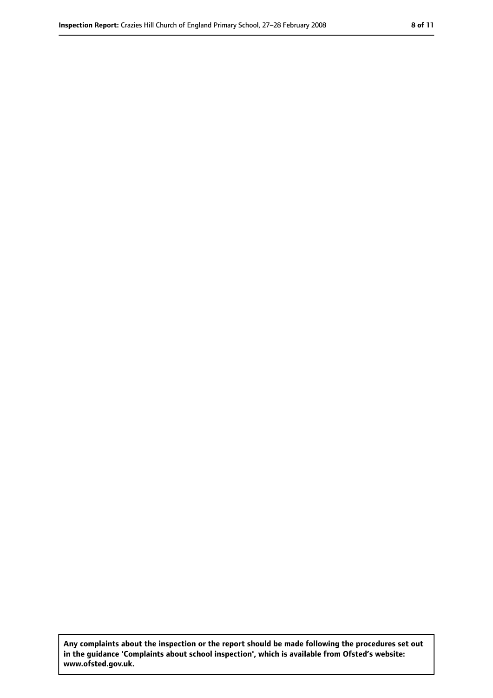**Any complaints about the inspection or the report should be made following the procedures set out in the guidance 'Complaints about school inspection', which is available from Ofsted's website: www.ofsted.gov.uk.**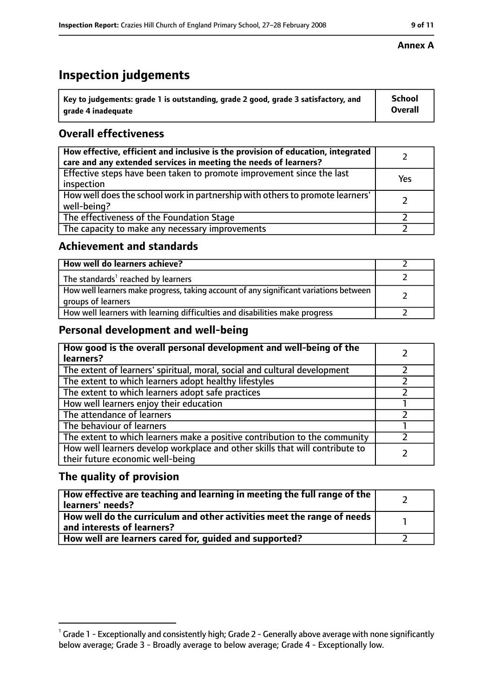# **Inspection judgements**

| $^{\backprime}$ Key to judgements: grade 1 is outstanding, grade 2 good, grade 3 satisfactory, and | <b>School</b>  |
|----------------------------------------------------------------------------------------------------|----------------|
| arade 4 inadeguate                                                                                 | <b>Overall</b> |

# **Overall effectiveness**

| How effective, efficient and inclusive is the provision of education, integrated<br>care and any extended services in meeting the needs of learners? |     |
|------------------------------------------------------------------------------------------------------------------------------------------------------|-----|
| Effective steps have been taken to promote improvement since the last<br>inspection                                                                  | Yes |
| How well does the school work in partnership with others to promote learners'<br>well-being?                                                         |     |
| The effectiveness of the Foundation Stage                                                                                                            |     |
| The capacity to make any necessary improvements                                                                                                      |     |

#### **Achievement and standards**

| How well do learners achieve?                                                                               |  |
|-------------------------------------------------------------------------------------------------------------|--|
| The standards <sup>1</sup> reached by learners                                                              |  |
| How well learners make progress, taking account of any significant variations between<br>groups of learners |  |
| How well learners with learning difficulties and disabilities make progress                                 |  |

## **Personal development and well-being**

| How good is the overall personal development and well-being of the<br>learners?                                  |  |
|------------------------------------------------------------------------------------------------------------------|--|
| The extent of learners' spiritual, moral, social and cultural development                                        |  |
| The extent to which learners adopt healthy lifestyles                                                            |  |
| The extent to which learners adopt safe practices                                                                |  |
| How well learners enjoy their education                                                                          |  |
| The attendance of learners                                                                                       |  |
| The behaviour of learners                                                                                        |  |
| The extent to which learners make a positive contribution to the community                                       |  |
| How well learners develop workplace and other skills that will contribute to<br>their future economic well-being |  |

#### **The quality of provision**

| How effective are teaching and learning in meeting the full range of the<br>learners' needs?          |  |
|-------------------------------------------------------------------------------------------------------|--|
| How well do the curriculum and other activities meet the range of needs<br>and interests of learners? |  |
| How well are learners cared for, guided and supported?                                                |  |

#### **Annex A**

 $^1$  Grade 1 - Exceptionally and consistently high; Grade 2 - Generally above average with none significantly below average; Grade 3 - Broadly average to below average; Grade 4 - Exceptionally low.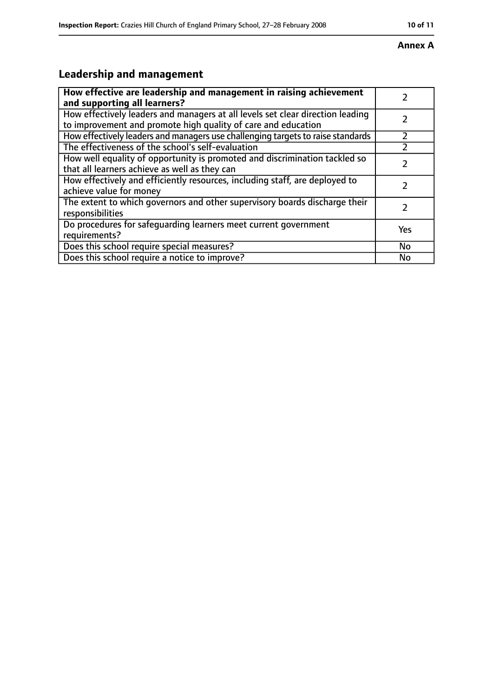#### **Annex A**

# **Leadership and management**

| How effective are leadership and management in raising achievement                                                                              |           |
|-------------------------------------------------------------------------------------------------------------------------------------------------|-----------|
| and supporting all learners?                                                                                                                    |           |
| How effectively leaders and managers at all levels set clear direction leading<br>to improvement and promote high quality of care and education |           |
| How effectively leaders and managers use challenging targets to raise standards                                                                 |           |
| The effectiveness of the school's self-evaluation                                                                                               |           |
| How well equality of opportunity is promoted and discrimination tackled so<br>that all learners achieve as well as they can                     |           |
| How effectively and efficiently resources, including staff, are deployed to<br>achieve value for money                                          | 7         |
| The extent to which governors and other supervisory boards discharge their<br>responsibilities                                                  | フ         |
| Do procedures for safequarding learners meet current government<br>requirements?                                                                | Yes       |
| Does this school require special measures?                                                                                                      | <b>No</b> |
| Does this school require a notice to improve?                                                                                                   | No        |